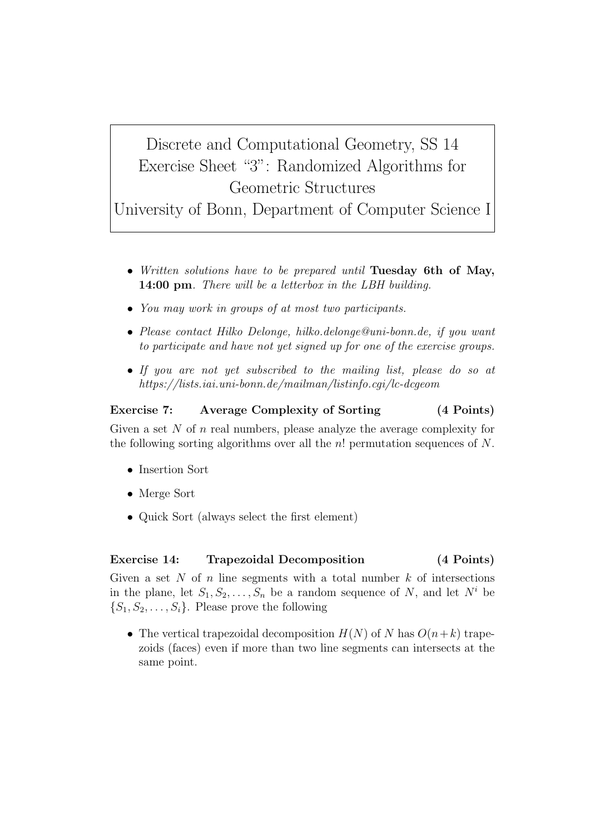## Discrete and Computational Geometry, SS 14 Exercise Sheet "3": Randomized Algorithms for Geometric Structures

University of Bonn, Department of Computer Science I

- *• Written solutions have to be prepared until* **Tuesday 6th of May, 14:00 pm***. There will be a letterbox in the LBH building.*
- *• You may work in groups of at most two participants.*
- *• Please contact Hilko Delonge, hilko.delonge@uni-bonn.de, if you want to participate and have not yet signed up for one of the exercise groups.*
- *• If you are not yet subscribed to the mailing list, please do so at https://lists.iai.uni-bonn.de/mailman/listinfo.cgi/lc-dcgeom*

## **Exercise 7: Average Complexity of Sorting (4 Points)**

Given a set *N* of *n* real numbers, please analyze the average complexity for the following sorting algorithms over all the *n*! permutation sequences of *N*.

- *•* Insertion Sort
- *•* Merge Sort
- Quick Sort (always select the first element)

## **Exercise 14: Trapezoidal Decomposition (4 Points)**

Given a set *N* of *n* line segments with a total number *k* of intersections in the plane, let  $S_1, S_2, \ldots, S_n$  be a random sequence of *N*, and let  $N^i$  be  ${S_1, S_2, \ldots, S_i}$ . Please prove the following

• The vertical trapezoidal decomposition  $H(N)$  of *N* has  $O(n+k)$  trapezoids (faces) even if more than two line segments can intersects at the same point.